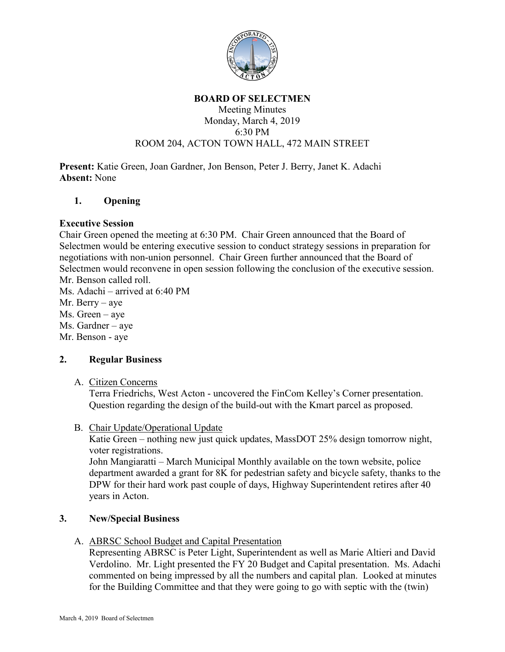

#### **BOARD OF SELECTMEN**

### Meeting Minutes Monday, March 4, 2019 6:30 PM ROOM 204, ACTON TOWN HALL, 472 MAIN STREET

**Present:** Katie Green, Joan Gardner, Jon Benson, Peter J. Berry, Janet K. Adachi **Absent:** None

### **1. Opening**

### **Executive Session**

Chair Green opened the meeting at 6:30 PM. Chair Green announced that the Board of Selectmen would be entering executive session to conduct strategy sessions in preparation for negotiations with non-union personnel. Chair Green further announced that the Board of Selectmen would reconvene in open session following the conclusion of the executive session. Mr. Benson called roll.

Ms. Adachi – arrived at 6:40 PM

- Mr. Berry aye
- Ms. Green aye
- Ms. Gardner aye
- Mr. Benson aye

# **2. Regular Business**

A. Citizen Concerns

Terra Friedrichs, West Acton - uncovered the FinCom Kelley's Corner presentation. Question regarding the design of the build-out with the Kmart parcel as proposed.

B. Chair Update/Operational Update

Katie Green – nothing new just quick updates, MassDOT 25% design tomorrow night, voter registrations.

John Mangiaratti – March Municipal Monthly available on the town website, police department awarded a grant for 8K for pedestrian safety and bicycle safety, thanks to the DPW for their hard work past couple of days, Highway Superintendent retires after 40 years in Acton.

# **3. New/Special Business**

A. ABRSC School Budget and Capital Presentation

Representing ABRSC is Peter Light, Superintendent as well as Marie Altieri and David Verdolino. Mr. Light presented the FY 20 Budget and Capital presentation. Ms. Adachi commented on being impressed by all the numbers and capital plan. Looked at minutes for the Building Committee and that they were going to go with septic with the (twin)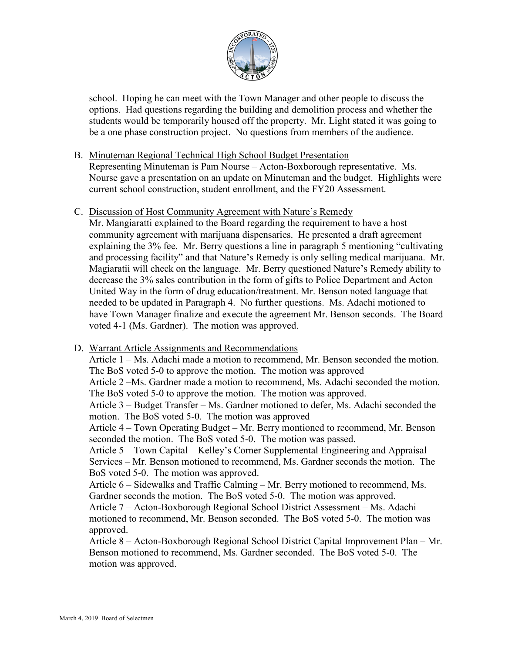

school. Hoping he can meet with the Town Manager and other people to discuss the options. Had questions regarding the building and demolition process and whether the students would be temporarily housed off the property. Mr. Light stated it was going to be a one phase construction project. No questions from members of the audience.

### B. Minuteman Regional Technical High School Budget Presentation

Representing Minuteman is Pam Nourse – Acton-Boxborough representative. Ms. Nourse gave a presentation on an update on Minuteman and the budget. Highlights were current school construction, student enrollment, and the FY20 Assessment.

### C. Discussion of Host Community Agreement with Nature's Remedy

Mr. Mangiaratti explained to the Board regarding the requirement to have a host community agreement with marijuana dispensaries. He presented a draft agreement explaining the 3% fee. Mr. Berry questions a line in paragraph 5 mentioning "cultivating and processing facility" and that Nature's Remedy is only selling medical marijuana. Mr. Magiaratii will check on the language. Mr. Berry questioned Nature's Remedy ability to decrease the 3% sales contribution in the form of gifts to Police Department and Acton United Way in the form of drug education/treatment. Mr. Benson noted language that needed to be updated in Paragraph 4. No further questions. Ms. Adachi motioned to have Town Manager finalize and execute the agreement Mr. Benson seconds. The Board voted 4-1 (Ms. Gardner). The motion was approved.

# D. Warrant Article Assignments and Recommendations

Article 1 – Ms. Adachi made a motion to recommend, Mr. Benson seconded the motion. The BoS voted 5-0 to approve the motion. The motion was approved Article 2 –Ms. Gardner made a motion to recommend, Ms. Adachi seconded the motion. The BoS voted 5-0 to approve the motion. The motion was approved. Article 3 – Budget Transfer – Ms. Gardner motioned to defer, Ms. Adachi seconded the motion. The BoS voted 5-0. The motion was approved Article 4 – Town Operating Budget – Mr. Berry montioned to recommend, Mr. Benson seconded the motion. The BoS voted 5-0. The motion was passed. Article 5 – Town Capital – Kelley's Corner Supplemental Engineering and Appraisal Services – Mr. Benson motioned to recommend, Ms. Gardner seconds the motion. The BoS voted 5-0. The motion was approved. Article 6 – Sidewalks and Traffic Calming – Mr. Berry motioned to recommend, Ms. Gardner seconds the motion. The BoS voted 5-0. The motion was approved. Article 7 – Acton-Boxborough Regional School District Assessment – Ms. Adachi motioned to recommend, Mr. Benson seconded. The BoS voted 5-0. The motion was approved. Article 8 – Acton-Boxborough Regional School District Capital Improvement Plan – Mr. Benson motioned to recommend, Ms. Gardner seconded. The BoS voted 5-0. The motion was approved.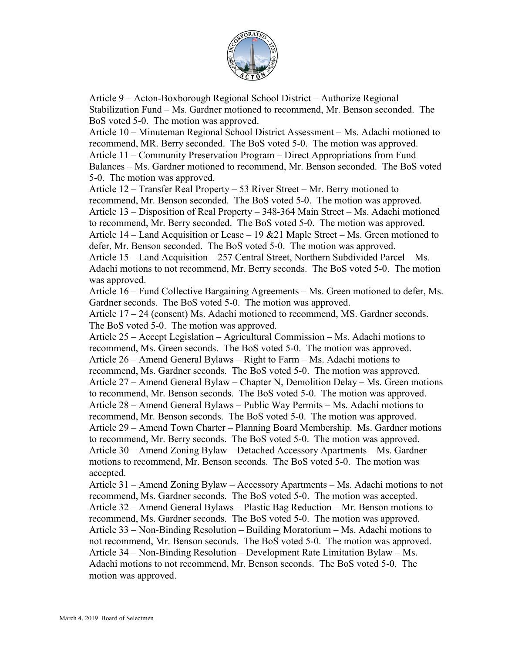

Article 9 – Acton-Boxborough Regional School District – Authorize Regional Stabilization Fund – Ms. Gardner motioned to recommend, Mr. Benson seconded. The BoS voted 5-0. The motion was approved.

Article 10 – Minuteman Regional School District Assessment – Ms. Adachi motioned to recommend, MR. Berry seconded. The BoS voted 5-0. The motion was approved. Article 11 – Community Preservation Program – Direct Appropriations from Fund Balances – Ms. Gardner motioned to recommend, Mr. Benson seconded. The BoS voted 5-0. The motion was approved.

Article 12 – Transfer Real Property – 53 River Street – Mr. Berry motioned to recommend, Mr. Benson seconded. The BoS voted 5-0. The motion was approved. Article 13 – Disposition of Real Property – 348-364 Main Street – Ms. Adachi motioned to recommend, Mr. Berry seconded. The BoS voted 5-0. The motion was approved. Article 14 – Land Acquisition or Lease – 19 &21 Maple Street – Ms. Green motioned to defer, Mr. Benson seconded. The BoS voted 5-0. The motion was approved.

Article 15 – Land Acquisition – 257 Central Street, Northern Subdivided Parcel – Ms. Adachi motions to not recommend, Mr. Berry seconds. The BoS voted 5-0. The motion was approved.

Article 16 – Fund Collective Bargaining Agreements – Ms. Green motioned to defer, Ms. Gardner seconds. The BoS voted 5-0. The motion was approved.

Article 17 – 24 (consent) Ms. Adachi motioned to recommend, MS. Gardner seconds. The BoS voted 5-0. The motion was approved.

Article 25 – Accept Legislation – Agricultural Commission – Ms. Adachi motions to recommend, Ms. Green seconds. The BoS voted 5-0. The motion was approved. Article 26 – Amend General Bylaws – Right to Farm – Ms. Adachi motions to recommend, Ms. Gardner seconds. The BoS voted 5-0. The motion was approved. Article 27 – Amend General Bylaw – Chapter N, Demolition Delay – Ms. Green motions to recommend, Mr. Benson seconds. The BoS voted 5-0. The motion was approved. Article 28 – Amend General Bylaws – Public Way Permits – Ms. Adachi motions to recommend, Mr. Benson seconds. The BoS voted 5-0. The motion was approved. Article 29 – Amend Town Charter – Planning Board Membership. Ms. Gardner motions to recommend, Mr. Berry seconds. The BoS voted 5-0. The motion was approved. Article 30 – Amend Zoning Bylaw – Detached Accessory Apartments – Ms. Gardner motions to recommend, Mr. Benson seconds. The BoS voted 5-0. The motion was accepted.

Article 31 – Amend Zoning Bylaw – Accessory Apartments – Ms. Adachi motions to not recommend, Ms. Gardner seconds. The BoS voted 5-0. The motion was accepted. Article 32 – Amend General Bylaws – Plastic Bag Reduction – Mr. Benson motions to recommend, Ms. Gardner seconds. The BoS voted 5-0. The motion was approved. Article 33 – Non-Binding Resolution – Building Moratorium – Ms. Adachi motions to not recommend, Mr. Benson seconds. The BoS voted 5-0. The motion was approved. Article 34 – Non-Binding Resolution – Development Rate Limitation Bylaw – Ms. Adachi motions to not recommend, Mr. Benson seconds. The BoS voted 5-0. The motion was approved.